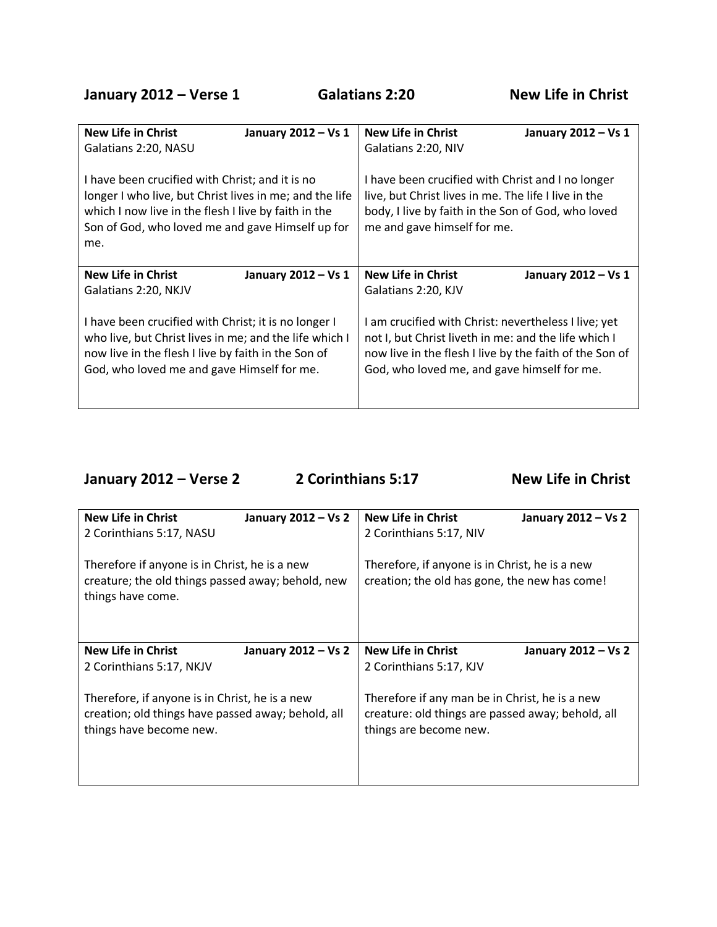| <b>New Life in Christ</b>                                                                                                                                                                                                     | <b>New Life in Christ</b>                                                                                                                                                                      |  |
|-------------------------------------------------------------------------------------------------------------------------------------------------------------------------------------------------------------------------------|------------------------------------------------------------------------------------------------------------------------------------------------------------------------------------------------|--|
| January 2012 - Vs 1                                                                                                                                                                                                           | January 2012 - Vs 1                                                                                                                                                                            |  |
| Galatians 2:20, NASU                                                                                                                                                                                                          | Galatians 2:20, NIV                                                                                                                                                                            |  |
| I have been crucified with Christ; and it is no<br>longer I who live, but Christ lives in me; and the life<br>which I now live in the flesh I live by faith in the<br>Son of God, who loved me and gave Himself up for<br>me. | I have been crucified with Christ and I no longer<br>live, but Christ lives in me. The life I live in the<br>body, I live by faith in the Son of God, who loved<br>me and gave himself for me. |  |
| <b>New Life in Christ</b>                                                                                                                                                                                                     | New Life in Christ                                                                                                                                                                             |  |
| January 2012 - Vs 1                                                                                                                                                                                                           | January 2012 - Vs 1                                                                                                                                                                            |  |
| Galatians 2:20, NKJV                                                                                                                                                                                                          | Galatians 2:20, KJV                                                                                                                                                                            |  |
| I have been crucified with Christ; it is no longer I                                                                                                                                                                          | I am crucified with Christ: nevertheless I live; yet                                                                                                                                           |  |
| who live, but Christ lives in me; and the life which I                                                                                                                                                                        | not I, but Christ liveth in me: and the life which I                                                                                                                                           |  |
| now live in the flesh I live by faith in the Son of                                                                                                                                                                           | now live in the flesh I live by the faith of the Son of                                                                                                                                        |  |
| God, who loved me and gave Himself for me.                                                                                                                                                                                    | God, who loved me, and gave himself for me.                                                                                                                                                    |  |

**January 2012 – Verse 2 2 Corinthians 5:17 New Life in Christ** 

| <b>New Life in Christ</b>                                                                                               | <b>New Life in Christ</b>                                                                       |
|-------------------------------------------------------------------------------------------------------------------------|-------------------------------------------------------------------------------------------------|
| January 2012 - Vs 2                                                                                                     | January 2012 - Vs 2                                                                             |
| 2 Corinthians 5:17, NASU                                                                                                | 2 Corinthians 5:17, NIV                                                                         |
| Therefore if anyone is in Christ, he is a new<br>creature; the old things passed away; behold, new<br>things have come. | Therefore, if anyone is in Christ, he is a new<br>creation; the old has gone, the new has come! |
| <b>New Life in Christ</b>                                                                                               | <b>New Life in Christ</b>                                                                       |
| January 2012 - Vs 2                                                                                                     | January 2012 - Vs 2                                                                             |
| 2 Corinthians 5:17, NKJV                                                                                                | 2 Corinthians 5:17, KJV                                                                         |
| Therefore, if anyone is in Christ, he is a new                                                                          | Therefore if any man be in Christ, he is a new                                                  |
| creation; old things have passed away; behold, all                                                                      | creature: old things are passed away; behold, all                                               |
| things have become new.                                                                                                 | things are become new.                                                                          |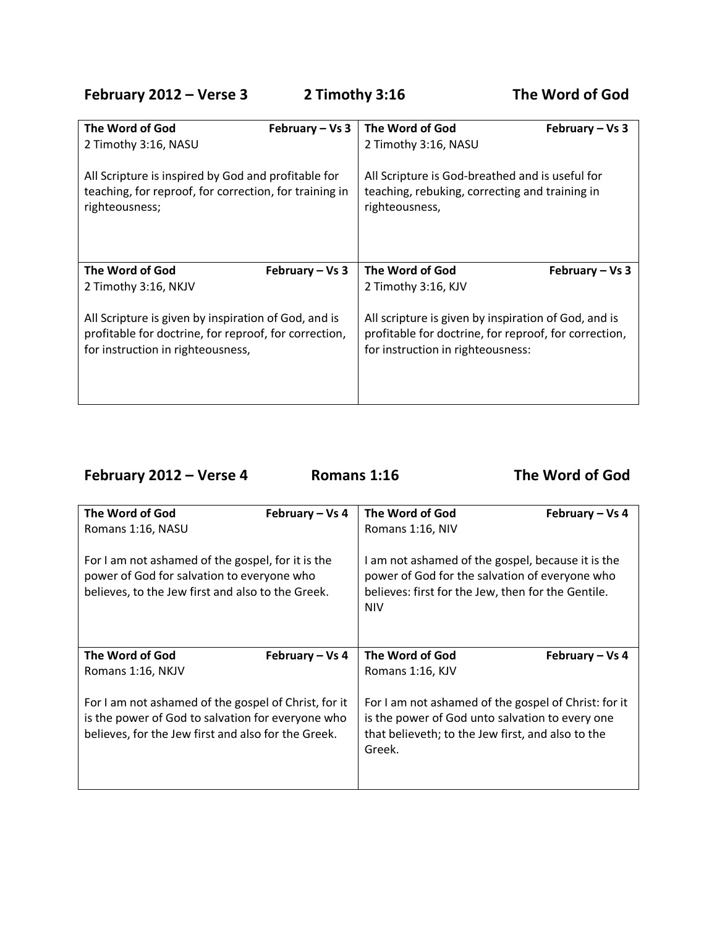**February 2012 – Verse 3 2 Timothy 3:16 The Word of God**

| The Word of God                                        | The Word of God                                       |
|--------------------------------------------------------|-------------------------------------------------------|
| February $-$ Vs 3                                      | February – Vs $3$                                     |
| 2 Timothy 3:16, NASU                                   | 2 Timothy 3:16, NASU                                  |
| All Scripture is inspired by God and profitable for    | All Scripture is God-breathed and is useful for       |
| teaching, for reproof, for correction, for training in | teaching, rebuking, correcting and training in        |
| righteousness;                                         | righteousness,                                        |
| The Word of God                                        | The Word of God                                       |
| February $-$ Vs 3                                      | February – Vs 3                                       |
| 2 Timothy 3:16, NKJV                                   | 2 Timothy 3:16, KJV                                   |
| All Scripture is given by inspiration of God, and is   | All scripture is given by inspiration of God, and is  |
| profitable for doctrine, for reproof, for correction,  | profitable for doctrine, for reproof, for correction, |
| for instruction in righteousness,                      | for instruction in righteousness:                     |

**February 2012 – Verse 4 Romans 1:16 The Word of God**

| The Word of God                                                                                                                                                  | February - Vs 4 | The Word of God                                                                                                                                                         | February – Vs 4 |
|------------------------------------------------------------------------------------------------------------------------------------------------------------------|-----------------|-------------------------------------------------------------------------------------------------------------------------------------------------------------------------|-----------------|
| Romans 1:16, NASU                                                                                                                                                |                 | Romans 1:16, NIV                                                                                                                                                        |                 |
| For I am not ashamed of the gospel, for it is the<br>power of God for salvation to everyone who<br>believes, to the Jew first and also to the Greek.             |                 | I am not ashamed of the gospel, because it is the<br>power of God for the salvation of everyone who<br>believes: first for the Jew, then for the Gentile.<br><b>NIV</b> |                 |
| The Word of God                                                                                                                                                  | February - Vs 4 | The Word of God                                                                                                                                                         | February – Vs 4 |
| Romans 1:16, NKJV                                                                                                                                                |                 | Romans 1:16, KJV                                                                                                                                                        |                 |
| For I am not ashamed of the gospel of Christ, for it<br>is the power of God to salvation for everyone who<br>believes, for the Jew first and also for the Greek. |                 | For I am not ashamed of the gospel of Christ: for it<br>is the power of God unto salvation to every one<br>that believeth; to the Jew first, and also to the<br>Greek.  |                 |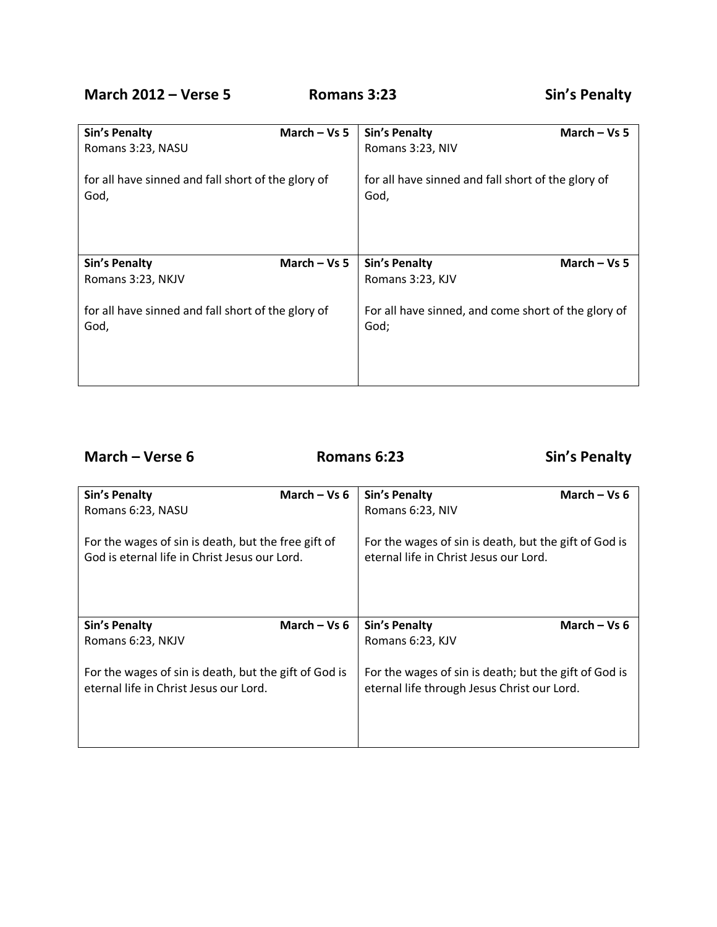## **March 2012 – Verse 5 Romans 3:23 Sin's Penalty**

| <b>Sin's Penalty</b>                                       | March $-$ Vs 5 | <b>Sin's Penalty</b>                                        | March $-$ Vs 5 |
|------------------------------------------------------------|----------------|-------------------------------------------------------------|----------------|
| Romans 3:23, NASU                                          |                | Romans 3:23, NIV                                            |                |
| for all have sinned and fall short of the glory of<br>God, |                | for all have sinned and fall short of the glory of<br>God,  |                |
| <b>Sin's Penalty</b>                                       | March $-$ Vs 5 | <b>Sin's Penalty</b>                                        | March $-$ Vs 5 |
| Romans 3:23, NKJV                                          |                | Romans 3:23, KJV                                            |                |
| for all have sinned and fall short of the glory of<br>God, |                | For all have sinned, and come short of the glory of<br>God; |                |

**March – Verse 6 Romans 6:23 Sin's Penalty**

| <b>Sin's Penalty</b>                                                                                 | March $-$ Vs 6 | <b>Sin's Penalty</b>                                                                                 | March $-$ Vs 6 |
|------------------------------------------------------------------------------------------------------|----------------|------------------------------------------------------------------------------------------------------|----------------|
| Romans 6:23, NASU                                                                                    |                | Romans 6:23, NIV                                                                                     |                |
| For the wages of sin is death, but the free gift of<br>God is eternal life in Christ Jesus our Lord. |                | For the wages of sin is death, but the gift of God is<br>eternal life in Christ Jesus our Lord.      |                |
| <b>Sin's Penalty</b>                                                                                 | March – Vs $6$ | <b>Sin's Penalty</b>                                                                                 | March $-$ Vs 6 |
| Romans 6:23, NKJV                                                                                    |                | Romans 6:23, KJV                                                                                     |                |
| For the wages of sin is death, but the gift of God is<br>eternal life in Christ Jesus our Lord.      |                | For the wages of sin is death; but the gift of God is<br>eternal life through Jesus Christ our Lord. |                |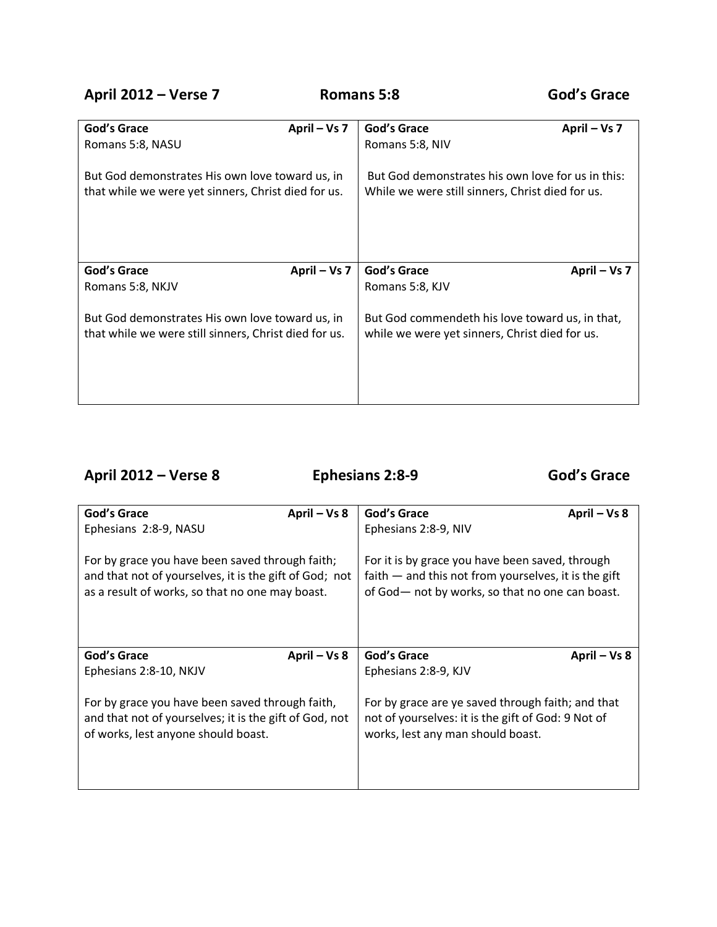**April 2012 – Verse 7 Romans 5:8 God's Grace**

| God's Grace<br>Romans 5:8, NASU<br>But God demonstrates His own love toward us, in<br>that while we were yet sinners, Christ died for us.   | April – Vs 7 | God's Grace<br>April – Vs 7<br>Romans 5:8, NIV<br>But God demonstrates his own love for us in this:<br>While we were still sinners, Christ died for us.    |  |
|---------------------------------------------------------------------------------------------------------------------------------------------|--------------|------------------------------------------------------------------------------------------------------------------------------------------------------------|--|
| God's Grace<br>Romans 5:8, NKJV<br>But God demonstrates His own love toward us, in<br>that while we were still sinners, Christ died for us. | April – Vs 7 | <b>God's Grace</b><br>April – Vs 7<br>Romans 5:8, KJV<br>But God commendeth his love toward us, in that,<br>while we were yet sinners, Christ died for us. |  |

## **April 2012 – Verse 8 Ephesians 2:8-9 God's Grace**

| <b>God's Grace</b>                                     | God's Grace                                            |  |
|--------------------------------------------------------|--------------------------------------------------------|--|
| April - Vs 8                                           | April - Vs 8                                           |  |
| Ephesians 2:8-9, NASU                                  | Ephesians 2:8-9, NIV                                   |  |
| For by grace you have been saved through faith;        | For it is by grace you have been saved, through        |  |
| and that not of yourselves, it is the gift of God; not | faith $-$ and this not from yourselves, it is the gift |  |
| as a result of works, so that no one may boast.        | of God- not by works, so that no one can boast.        |  |
| God's Grace                                            | God's Grace                                            |  |
| April – Vs 8                                           | April – Vs 8                                           |  |
| Ephesians 2:8-10, NKJV                                 | Ephesians 2:8-9, KJV                                   |  |
| For by grace you have been saved through faith,        | For by grace are ye saved through faith; and that      |  |
| and that not of yourselves; it is the gift of God, not | not of yourselves: it is the gift of God: 9 Not of     |  |
| of works, lest anyone should boast.                    | works, lest any man should boast.                      |  |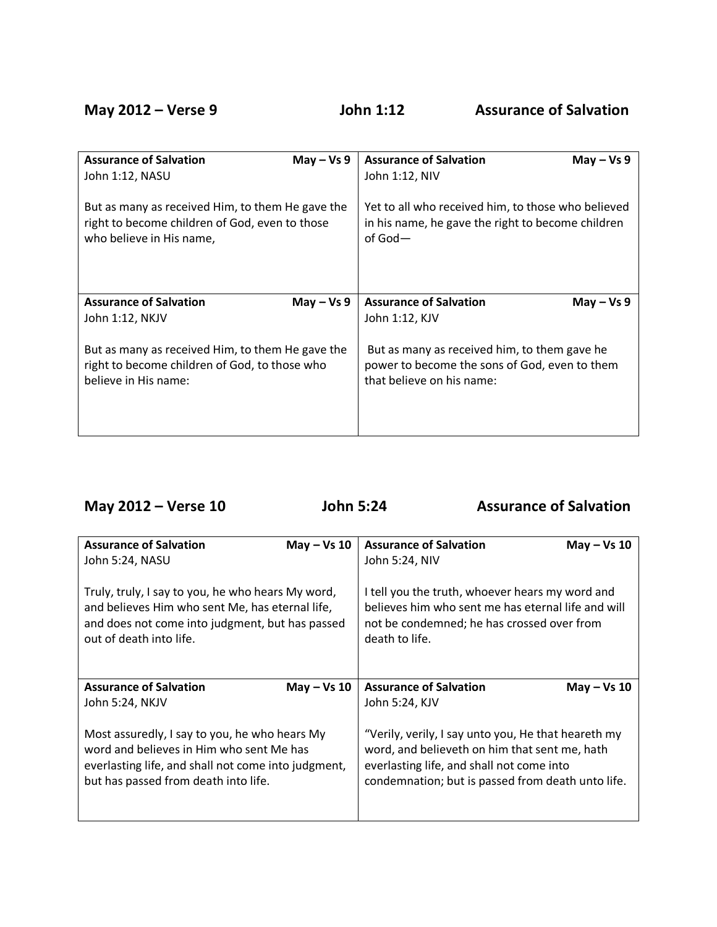| <b>Assurance of Salvation</b>                    | <b>Assurance of Salvation</b>                      |  |
|--------------------------------------------------|----------------------------------------------------|--|
| $May - Vs 9$                                     | $May - Vs 9$                                       |  |
| John 1:12, NASU                                  | John 1:12, NIV                                     |  |
| But as many as received Him, to them He gave the | Yet to all who received him, to those who believed |  |
| right to become children of God, even to those   | in his name, he gave the right to become children  |  |
| who believe in His name,                         | of God $-$                                         |  |
| <b>Assurance of Salvation</b>                    | <b>Assurance of Salvation</b>                      |  |
| May $-$ Vs 9                                     | May $-$ Vs 9                                       |  |
| John 1:12, NKJV                                  | John 1:12, KJV                                     |  |
| But as many as received Him, to them He gave the | But as many as received him, to them gave he       |  |
| right to become children of God, to those who    | power to become the sons of God, even to them      |  |
| believe in His name:                             | that believe on his name:                          |  |

| May 2012 - Verse 10                                                                                                                                                                      | <b>John 5:24</b> |                                                                                                                                                                                                        | <b>Assurance of Salvation</b> |  |
|------------------------------------------------------------------------------------------------------------------------------------------------------------------------------------------|------------------|--------------------------------------------------------------------------------------------------------------------------------------------------------------------------------------------------------|-------------------------------|--|
| <b>Assurance of Salvation</b><br>John 5:24, NASU                                                                                                                                         | $May - Vs 10$    | <b>Assurance of Salvation</b><br>John 5:24, NIV                                                                                                                                                        | $May - Vs 10$                 |  |
| Truly, truly, I say to you, he who hears My word,<br>and believes Him who sent Me, has eternal life,<br>and does not come into judgment, but has passed<br>out of death into life.       |                  | I tell you the truth, whoever hears my word and<br>believes him who sent me has eternal life and will<br>not be condemned; he has crossed over from<br>death to life.                                  |                               |  |
| <b>Assurance of Salvation</b><br>John 5:24, NKJV                                                                                                                                         | $May - Vs 10$    | <b>Assurance of Salvation</b><br>John 5:24, KJV                                                                                                                                                        | $May - Vs 10$                 |  |
| Most assuredly, I say to you, he who hears My<br>word and believes in Him who sent Me has<br>everlasting life, and shall not come into judgment,<br>but has passed from death into life. |                  | "Verily, verily, I say unto you, He that heareth my<br>word, and believeth on him that sent me, hath<br>everlasting life, and shall not come into<br>condemnation; but is passed from death unto life. |                               |  |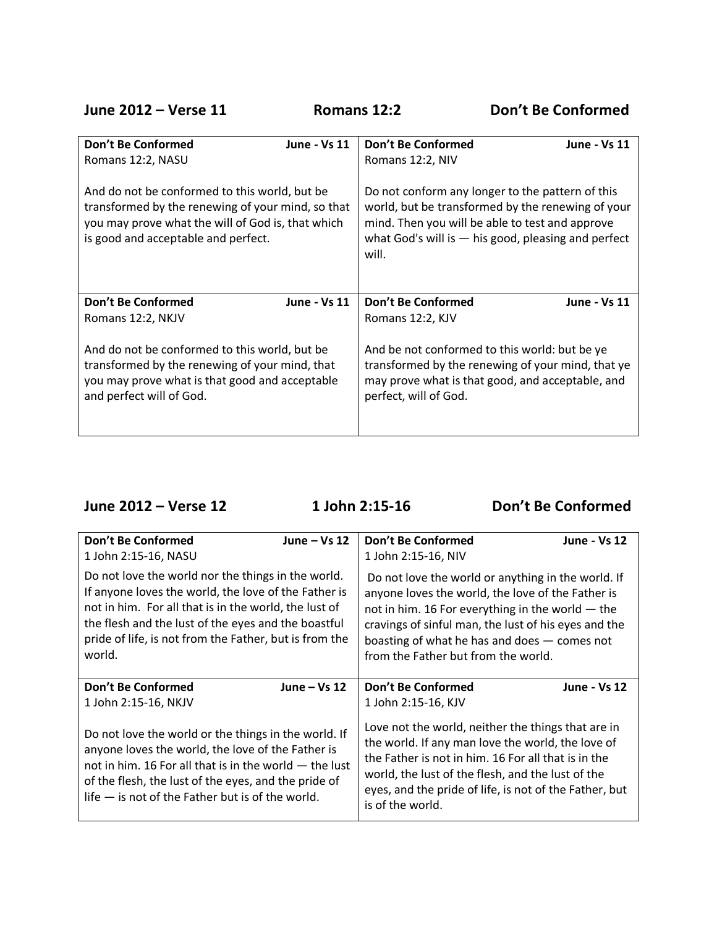**June 2012 – Verse 11 Romans 12:2 Don't Be Conformed**

| Don't Be Conformed                                                                                                                                                                             | Don't Be Conformed                                                                                                                                                                                                         |  |
|------------------------------------------------------------------------------------------------------------------------------------------------------------------------------------------------|----------------------------------------------------------------------------------------------------------------------------------------------------------------------------------------------------------------------------|--|
| June - Vs 11                                                                                                                                                                                   | <b>June - Vs 11</b>                                                                                                                                                                                                        |  |
| Romans 12:2, NASU                                                                                                                                                                              | Romans 12:2, NIV                                                                                                                                                                                                           |  |
| And do not be conformed to this world, but be<br>transformed by the renewing of your mind, so that<br>you may prove what the will of God is, that which<br>is good and acceptable and perfect. | Do not conform any longer to the pattern of this<br>world, but be transformed by the renewing of your<br>mind. Then you will be able to test and approve<br>what God's will is $-$ his good, pleasing and perfect<br>will. |  |
| Don't Be Conformed                                                                                                                                                                             | Don't Be Conformed                                                                                                                                                                                                         |  |
| June - Vs 11                                                                                                                                                                                   | <b>June - Vs 11</b>                                                                                                                                                                                                        |  |
| Romans 12:2, NKJV                                                                                                                                                                              | Romans 12:2, KJV                                                                                                                                                                                                           |  |
| And do not be conformed to this world, but be                                                                                                                                                  | And be not conformed to this world: but be ye                                                                                                                                                                              |  |
| transformed by the renewing of your mind, that                                                                                                                                                 | transformed by the renewing of your mind, that ye                                                                                                                                                                          |  |
| you may prove what is that good and acceptable                                                                                                                                                 | may prove what is that good, and acceptable, and                                                                                                                                                                           |  |
| and perfect will of God.                                                                                                                                                                       | perfect, will of God.                                                                                                                                                                                                      |  |

**June 2012 – Verse 12 1 John 2:15-16 Don't Be Conformed** 

| Don't Be Conformed<br>1 John 2:15-16, NASU                                                                                                                                                                                                                                                     | June $-$ Vs 12 | Don't Be Conformed<br>1 John 2:15-16, NIV                                                                                                                                                                                                                                                                  | <b>June - Vs 12</b> |
|------------------------------------------------------------------------------------------------------------------------------------------------------------------------------------------------------------------------------------------------------------------------------------------------|----------------|------------------------------------------------------------------------------------------------------------------------------------------------------------------------------------------------------------------------------------------------------------------------------------------------------------|---------------------|
| Do not love the world nor the things in the world.<br>If anyone loves the world, the love of the Father is<br>not in him. For all that is in the world, the lust of<br>the flesh and the lust of the eyes and the boastful<br>pride of life, is not from the Father, but is from the<br>world. |                | Do not love the world or anything in the world. If<br>anyone loves the world, the love of the Father is<br>not in him. 16 For everything in the world - the<br>cravings of sinful man, the lust of his eyes and the<br>boasting of what he has and does - comes not<br>from the Father but from the world. |                     |
| <b>Don't Be Conformed</b>                                                                                                                                                                                                                                                                      | June $-$ Vs 12 | <b>Don't Be Conformed</b>                                                                                                                                                                                                                                                                                  | <b>June - Vs 12</b> |
| 1 John 2:15-16, NKJV                                                                                                                                                                                                                                                                           |                | 1 John 2:15-16, KJV                                                                                                                                                                                                                                                                                        |                     |
| Do not love the world or the things in the world. If<br>anyone loves the world, the love of the Father is<br>not in him. 16 For all that is in the world $-$ the lust<br>of the flesh, the lust of the eyes, and the pride of<br>$l$ ife $-$ is not of the Father but is of the world.         |                | Love not the world, neither the things that are in<br>the world. If any man love the world, the love of<br>the Father is not in him. 16 For all that is in the<br>world, the lust of the flesh, and the lust of the<br>eyes, and the pride of life, is not of the Father, but<br>is of the world.          |                     |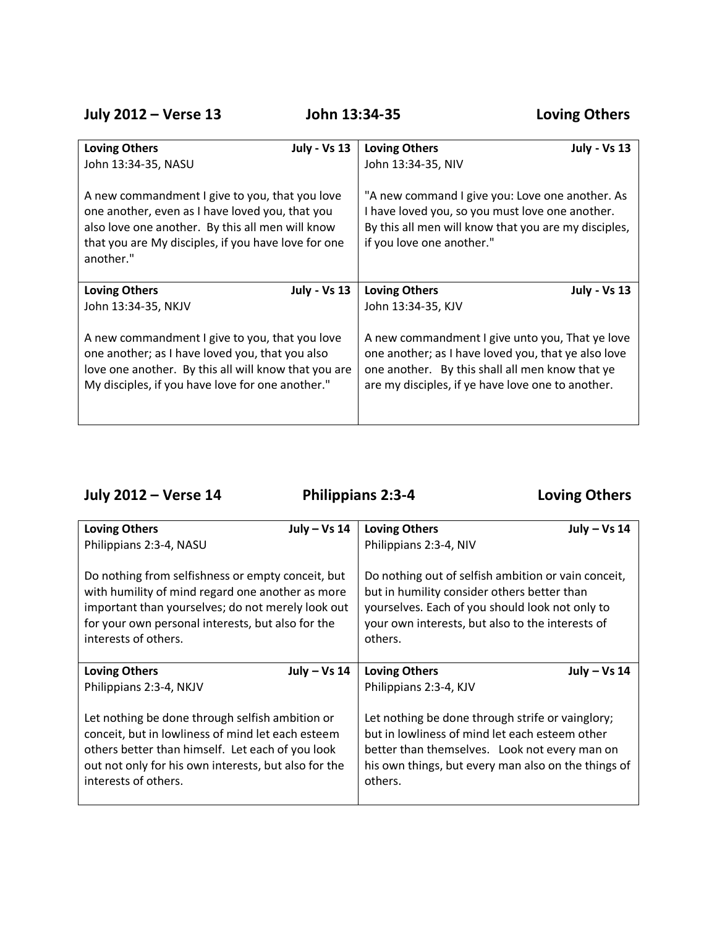**July 2012 – Verse 13 John 13:34-35 Loving Others**

| <b>Loving Others</b>                                                                                                                                                                                                      | <b>Loving Others</b>                                                                                                                                                                    |
|---------------------------------------------------------------------------------------------------------------------------------------------------------------------------------------------------------------------------|-----------------------------------------------------------------------------------------------------------------------------------------------------------------------------------------|
| <b>July - Vs 13</b>                                                                                                                                                                                                       | <b>July - Vs 13</b>                                                                                                                                                                     |
| John 13:34-35, NASU                                                                                                                                                                                                       | John 13:34-35, NIV                                                                                                                                                                      |
| A new commandment I give to you, that you love<br>one another, even as I have loved you, that you<br>also love one another. By this all men will know<br>that you are My disciples, if you have love for one<br>another." | "A new command I give you: Love one another. As<br>I have loved you, so you must love one another.<br>By this all men will know that you are my disciples,<br>if you love one another." |
| <b>Loving Others</b>                                                                                                                                                                                                      | <b>Loving Others</b>                                                                                                                                                                    |
| <b>July - Vs 13</b>                                                                                                                                                                                                       | <b>July - Vs 13</b>                                                                                                                                                                     |
| John 13:34-35, NKJV                                                                                                                                                                                                       | John 13:34-35, KJV                                                                                                                                                                      |
| A new commandment I give to you, that you love                                                                                                                                                                            | A new commandment I give unto you, That ye love                                                                                                                                         |
| one another; as I have loved you, that you also                                                                                                                                                                           | one another; as I have loved you, that ye also love                                                                                                                                     |
| love one another. By this all will know that you are                                                                                                                                                                      | one another. By this shall all men know that ye                                                                                                                                         |
| My disciples, if you have love for one another."                                                                                                                                                                          | are my disciples, if ye have love one to another.                                                                                                                                       |

**July 2012 – Verse 14 Philippians 2:3-4 Loving Others**

| <b>Loving Others</b>                                                                                                                                                                                                                     | July – Vs 14   | <b>Loving Others</b>                                                                                                                                                                                                  | July $-$ Vs 14 |
|------------------------------------------------------------------------------------------------------------------------------------------------------------------------------------------------------------------------------------------|----------------|-----------------------------------------------------------------------------------------------------------------------------------------------------------------------------------------------------------------------|----------------|
| Philippians 2:3-4, NASU                                                                                                                                                                                                                  |                | Philippians 2:3-4, NIV                                                                                                                                                                                                |                |
| Do nothing from selfishness or empty conceit, but<br>with humility of mind regard one another as more<br>important than yourselves; do not merely look out<br>for your own personal interests, but also for the<br>interests of others.  |                | Do nothing out of selfish ambition or vain conceit,<br>but in humility consider others better than<br>yourselves. Each of you should look not only to<br>your own interests, but also to the interests of<br>others.  |                |
| <b>Loving Others</b>                                                                                                                                                                                                                     | July $-$ Vs 14 | <b>Loving Others</b>                                                                                                                                                                                                  | July $-$ Vs 14 |
| Philippians 2:3-4, NKJV                                                                                                                                                                                                                  |                | Philippians 2:3-4, KJV                                                                                                                                                                                                |                |
| Let nothing be done through selfish ambition or<br>conceit, but in lowliness of mind let each esteem<br>others better than himself. Let each of you look<br>out not only for his own interests, but also for the<br>interests of others. |                | Let nothing be done through strife or vainglory;<br>but in lowliness of mind let each esteem other<br>better than themselves. Look not every man on<br>his own things, but every man also on the things of<br>others. |                |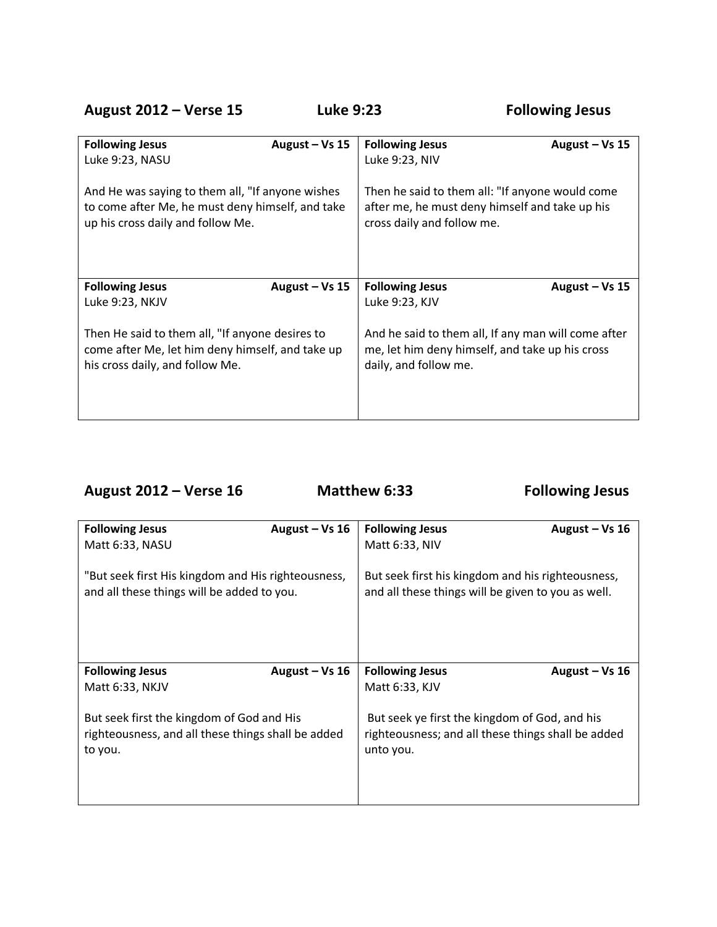**August 2012 – Verse 15 Luke 9:23 Following Jesus**

| <b>Following Jesus</b>                           | <b>Following Jesus</b>                              |  |
|--------------------------------------------------|-----------------------------------------------------|--|
| August – Vs $15$                                 | August $-$ Vs 15                                    |  |
| Luke 9:23, NASU                                  | Luke 9:23, NIV                                      |  |
| And He was saying to them all, "If anyone wishes | Then he said to them all: "If anyone would come     |  |
| to come after Me, he must deny himself, and take | after me, he must deny himself and take up his      |  |
| up his cross daily and follow Me.                | cross daily and follow me.                          |  |
| <b>Following Jesus</b>                           | <b>Following Jesus</b>                              |  |
| August $-$ Vs 15                                 | August $-$ Vs 15                                    |  |
| Luke 9:23, NKJV                                  | Luke 9:23, KJV                                      |  |
| Then He said to them all, "If anyone desires to  | And he said to them all, If any man will come after |  |
| come after Me, let him deny himself, and take up | me, let him deny himself, and take up his cross     |  |
| his cross daily, and follow Me.                  | daily, and follow me.                               |  |
|                                                  |                                                     |  |

**August 2012 – Verse 16 Matthew 6:33 Following Jesus**

| <b>Following Jesus</b>                                                                           | August - Vs 16   | <b>Following Jesus</b>                                                                                  | August $-$ Vs 16 |
|--------------------------------------------------------------------------------------------------|------------------|---------------------------------------------------------------------------------------------------------|------------------|
| Matt 6:33, NASU                                                                                  |                  | Matt 6:33, NIV                                                                                          |                  |
| "But seek first His kingdom and His righteousness,<br>and all these things will be added to you. |                  | But seek first his kingdom and his righteousness,<br>and all these things will be given to you as well. |                  |
| <b>Following Jesus</b>                                                                           | August $-$ Vs 16 | <b>Following Jesus</b>                                                                                  | August $-$ Vs 16 |
| Matt 6:33, NKJV                                                                                  |                  | Matt 6:33, KJV                                                                                          |                  |
| But seek first the kingdom of God and His                                                        |                  | But seek ye first the kingdom of God, and his                                                           |                  |
| righteousness, and all these things shall be added<br>to you.                                    |                  | righteousness; and all these things shall be added<br>unto you.                                         |                  |
|                                                                                                  |                  |                                                                                                         |                  |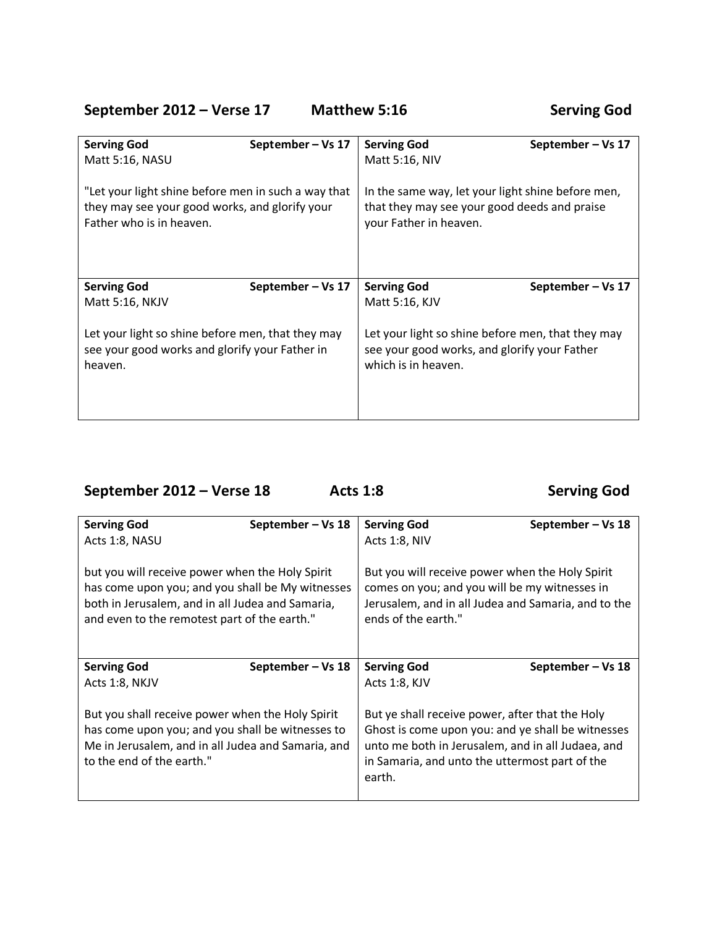## September 2012 – Verse 17 Matthew 5:16 Serving God

| <b>Serving God</b>                                                                                                                | September-Vs 17   | <b>Serving God</b>                                                                                                          | September – Vs 17 |
|-----------------------------------------------------------------------------------------------------------------------------------|-------------------|-----------------------------------------------------------------------------------------------------------------------------|-------------------|
| Matt 5:16, NASU                                                                                                                   |                   | Matt 5:16, NIV                                                                                                              |                   |
| "Let your light shine before men in such a way that<br>they may see your good works, and glorify your<br>Father who is in heaven. |                   | In the same way, let your light shine before men,<br>that they may see your good deeds and praise<br>your Father in heaven. |                   |
| <b>Serving God</b>                                                                                                                | September – Vs 17 | <b>Serving God</b>                                                                                                          | September-Vs 17   |
| Matt 5:16, NKJV                                                                                                                   |                   | Matt 5:16, KJV                                                                                                              |                   |
| Let your light so shine before men, that they may<br>see your good works and glorify your Father in<br>heaven.                    |                   | Let your light so shine before men, that they may<br>see your good works, and glorify your Father<br>which is in heaven.    |                   |

**September 2012 – Verse 18 Acts 1:8 Serving God**

| <b>Serving God</b>                                                                                                                                                                                      | September – Vs 18 | <b>Serving God</b>                                                                                                                                                                                                    | September – Vs 18 |
|---------------------------------------------------------------------------------------------------------------------------------------------------------------------------------------------------------|-------------------|-----------------------------------------------------------------------------------------------------------------------------------------------------------------------------------------------------------------------|-------------------|
| Acts 1:8, NASU                                                                                                                                                                                          |                   | Acts 1:8, NIV                                                                                                                                                                                                         |                   |
| but you will receive power when the Holy Spirit<br>has come upon you; and you shall be My witnesses<br>both in Jerusalem, and in all Judea and Samaria,<br>and even to the remotest part of the earth." |                   | But you will receive power when the Holy Spirit<br>comes on you; and you will be my witnesses in<br>Jerusalem, and in all Judea and Samaria, and to the<br>ends of the earth."                                        |                   |
| <b>Serving God</b>                                                                                                                                                                                      | September – Vs 18 | <b>Serving God</b>                                                                                                                                                                                                    | September-Vs 18   |
| Acts 1:8, NKJV                                                                                                                                                                                          |                   | Acts 1:8, KJV                                                                                                                                                                                                         |                   |
| But you shall receive power when the Holy Spirit<br>has come upon you; and you shall be witnesses to<br>Me in Jerusalem, and in all Judea and Samaria, and<br>to the end of the earth."                 |                   | But ye shall receive power, after that the Holy<br>Ghost is come upon you: and ye shall be witnesses<br>unto me both in Jerusalem, and in all Judaea, and<br>in Samaria, and unto the uttermost part of the<br>earth. |                   |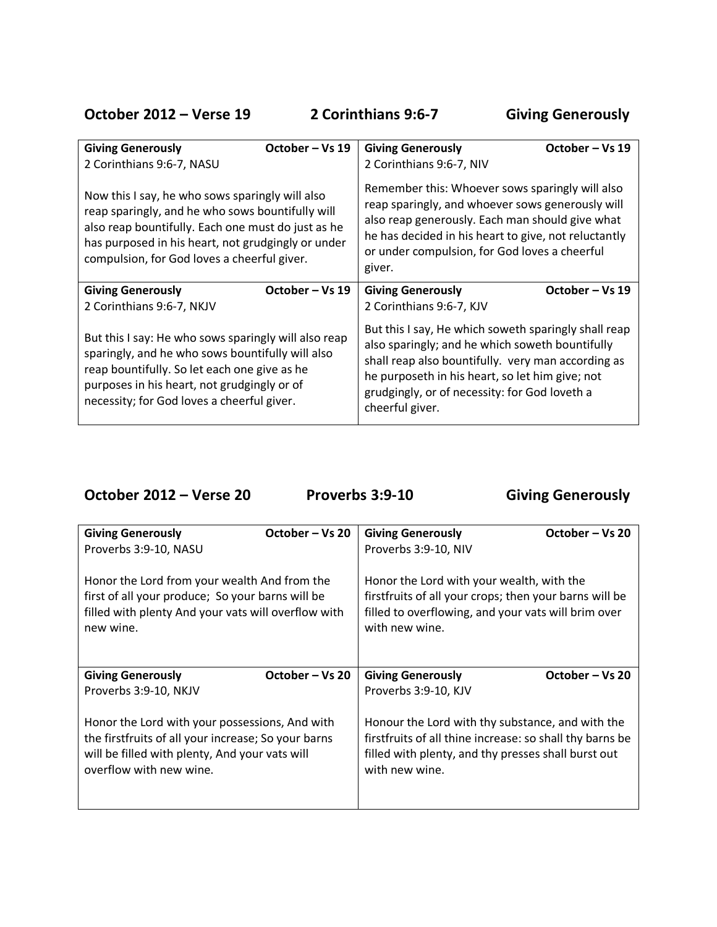**October 2012 – Verse 19 2 Corinthians 9:6-7 Giving Generously**

|                                                                                                                                                                                                                                                                | October – Vs 19 |                                                                                                                                                                                                                                                                                      | October – Vs 19 |
|----------------------------------------------------------------------------------------------------------------------------------------------------------------------------------------------------------------------------------------------------------------|-----------------|--------------------------------------------------------------------------------------------------------------------------------------------------------------------------------------------------------------------------------------------------------------------------------------|-----------------|
| <b>Giving Generously</b><br>2 Corinthians 9:6-7, NASU                                                                                                                                                                                                          |                 | <b>Giving Generously</b><br>2 Corinthians 9:6-7, NIV                                                                                                                                                                                                                                 |                 |
|                                                                                                                                                                                                                                                                |                 |                                                                                                                                                                                                                                                                                      |                 |
| Now this I say, he who sows sparingly will also<br>reap sparingly, and he who sows bountifully will<br>also reap bountifully. Each one must do just as he<br>has purposed in his heart, not grudgingly or under<br>compulsion, for God loves a cheerful giver. |                 | Remember this: Whoever sows sparingly will also<br>reap sparingly, and whoever sows generously will<br>also reap generously. Each man should give what<br>he has decided in his heart to give, not reluctantly<br>or under compulsion, for God loves a cheerful<br>giver.            |                 |
| <b>Giving Generously</b>                                                                                                                                                                                                                                       | October - Vs 19 | <b>Giving Generously</b>                                                                                                                                                                                                                                                             | October – Vs 19 |
| 2 Corinthians 9:6-7, NKJV                                                                                                                                                                                                                                      |                 | 2 Corinthians 9:6-7, KJV                                                                                                                                                                                                                                                             |                 |
| But this I say: He who sows sparingly will also reap<br>sparingly, and he who sows bountifully will also<br>reap bountifully. So let each one give as he<br>purposes in his heart, not grudgingly or of<br>necessity; for God loves a cheerful giver.          |                 | But this I say, He which soweth sparingly shall reap<br>also sparingly; and he which soweth bountifully<br>shall reap also bountifully. very man according as<br>he purposeth in his heart, so let him give; not<br>grudgingly, or of necessity: for God loveth a<br>cheerful giver. |                 |

October 2012 – Verse 20 **Proverbs 3:9-10** Giving Generously

| <b>Giving Generously</b>                                         | October – Vs 20 | <b>Giving Generously</b>                                              | October – Vs 20 |
|------------------------------------------------------------------|-----------------|-----------------------------------------------------------------------|-----------------|
| Proverbs 3:9-10, NASU                                            |                 | Proverbs 3:9-10, NIV                                                  |                 |
| Honor the Lord from your wealth And from the                     |                 | Honor the Lord with your wealth, with the                             |                 |
| first of all your produce; So your barns will be                 |                 | first fruits of all your crops; then your barns will be               |                 |
| filled with plenty And your vats will overflow with<br>new wine. |                 | filled to overflowing, and your vats will brim over<br>with new wine. |                 |
|                                                                  |                 |                                                                       |                 |
| <b>Giving Generously</b>                                         | October – Vs 20 | <b>Giving Generously</b>                                              | October – Vs 20 |
| Proverbs 3:9-10, NKJV                                            |                 | Proverbs 3:9-10, KJV                                                  |                 |
| Honor the Lord with your possessions, And with                   |                 | Honour the Lord with thy substance, and with the                      |                 |
| the firstfruits of all your increase; So your barns              |                 | first fruits of all thine increase: so shall thy barns be             |                 |
| will be filled with plenty, And your vats will                   |                 | filled with plenty, and thy presses shall burst out                   |                 |
| overflow with new wine.                                          |                 | with new wine.                                                        |                 |
|                                                                  |                 |                                                                       |                 |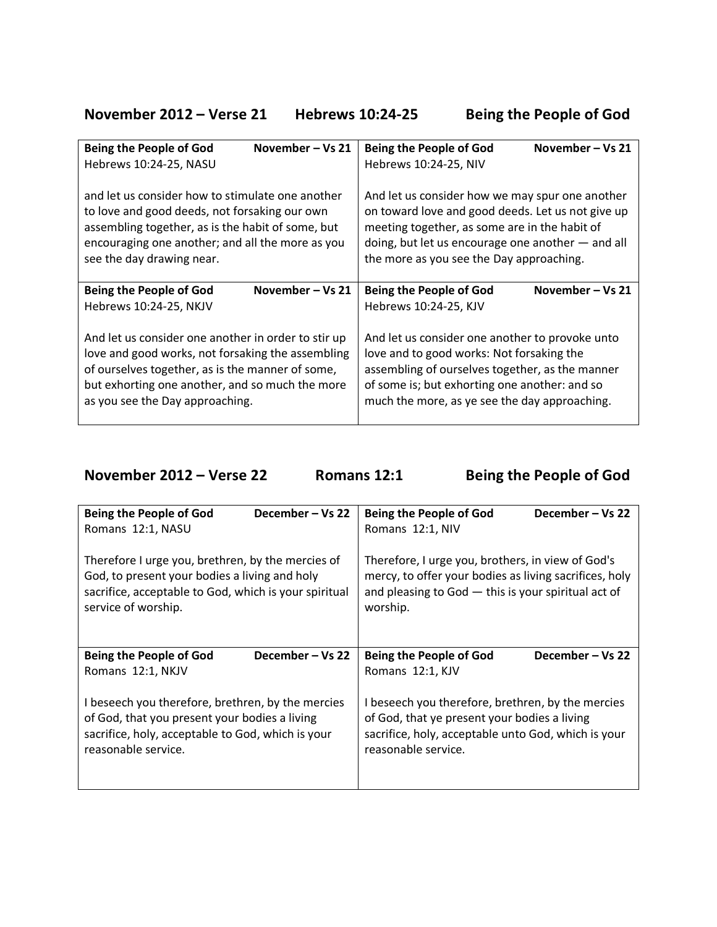**November 2012 – Verse 21 Hebrews 10:24-25 Being the People of God**

| November – Vs 21                                    | <b>Being the People of God</b>                      |  |
|-----------------------------------------------------|-----------------------------------------------------|--|
| <b>Being the People of God</b>                      | November – Vs 21                                    |  |
| Hebrews 10:24-25, NASU                              | Hebrews 10:24-25, NIV                               |  |
| and let us consider how to stimulate one another    | And let us consider how we may spur one another     |  |
| to love and good deeds, not forsaking our own       | on toward love and good deeds. Let us not give up   |  |
| assembling together, as is the habit of some, but   | meeting together, as some are in the habit of       |  |
| encouraging one another; and all the more as you    | doing, but let us encourage one another $-$ and all |  |
| see the day drawing near.                           | the more as you see the Day approaching.            |  |
| November – Vs 21                                    | <b>Being the People of God</b>                      |  |
| <b>Being the People of God</b>                      | November-Vs 21                                      |  |
| Hebrews 10:24-25, NKJV                              | Hebrews 10:24-25, KJV                               |  |
| And let us consider one another in order to stir up | And let us consider one another to provoke unto     |  |
| love and good works, not forsaking the assembling   | love and to good works: Not forsaking the           |  |
| of ourselves together, as is the manner of some,    | assembling of ourselves together, as the manner     |  |
| but exhorting one another, and so much the more     | of some is; but exhorting one another: and so       |  |
| as you see the Day approaching.                     | much the more, as ye see the day approaching.       |  |

**November 2012 – Verse 22 Romans 12:1 Being the People of God**

| <b>Being the People of God</b>                        | <b>Being the People of God</b>                         |
|-------------------------------------------------------|--------------------------------------------------------|
| December – Vs 22                                      | December – Vs 22                                       |
| Romans 12:1, NASU                                     | Romans 12:1, NIV                                       |
| Therefore I urge you, brethren, by the mercies of     | Therefore, I urge you, brothers, in view of God's      |
| God, to present your bodies a living and holy         | mercy, to offer your bodies as living sacrifices, holy |
| sacrifice, acceptable to God, which is your spiritual | and pleasing to $God - this$ is your spiritual act of  |
| service of worship.                                   | worship.                                               |
| December – Vs 22                                      | <b>Being the People of God</b>                         |
| <b>Being the People of God</b>                        | December – Vs 22                                       |
| Romans 12:1, NKJV                                     | Romans 12:1, KJV                                       |
| I beseech you therefore, brethren, by the mercies     | I beseech you therefore, brethren, by the mercies      |
| of God, that you present your bodies a living         | of God, that ye present your bodies a living           |
| sacrifice, holy, acceptable to God, which is your     | sacrifice, holy, acceptable unto God, which is your    |
| reasonable service.                                   | reasonable service.                                    |